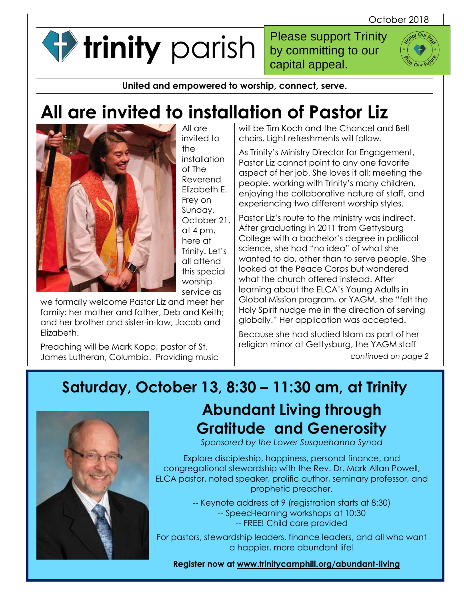**trinity** parish

Please support Trinity by committing to our capital appeal.



**United and empowered to worship, connect, serve.**

# **All are invited to installation of Pastor Liz**



All are invited to the installation of The Reverend Elizabeth E. Frey on Sunday, October 21, at 4 pm, here at Trinity. Let's all attend this special worship service as

we formally welcome Pastor Liz and meet her family: her mother and father, Deb and Keith; and her brother and sister-in-law, Jacob and Elizabeth.

Preaching will be Mark Kopp, pastor of St. James Lutheran, Columbia. Providing music will be Tim Koch and the Chancel and Bell choirs. Light refreshments will follow.

As Trinity's Ministry Director for Engagement, Pastor Liz cannot point to any one favorite aspect of her job. She loves it all: meeting the people, working with Trinity's many children, enjoying the collaborative nature of staff, and experiencing two different worship styles.

Pastor Liz's route to the ministry was indirect. After graduating in 2011 from Gettysburg College with a bachelor's degree in political science, she had "no idea" of what she wanted to do, other than to serve people. She looked at the Peace Corps but wondered what the church offered instead. After learning about the ELCA's Young Adults in Global Mission program, or YAGM, she "felt the Holy Spirit nudge me in the direction of serving globally." Her application was accepted.

Because she had studied Islam as part of her religion minor at Gettysburg, the YAGM staff *continued on page 2* 

### **Saturday, October 13, 8:30 – 11:30 am, at Trinity**



### **Abundant Living through Gratitude and Generosity**

*Sponsored by the Lower Susquehanna Synod*

Explore discipleship, happiness, personal finance, and congregational stewardship with the Rev. Dr. Mark Allan Powell, ELCA pastor, noted speaker, prolific author, seminary professor, and prophetic preacher.

> -- Keynote address at 9 (registration starts at 8:30) -- Speed-learning workshops at 10:30 -- FREE! Child care provided

For pastors, stewardship leaders, finance leaders, and all who want a happier, more abundant life!

**Register now at [www.trinitycamphill.org/abundant-living](http://www.trinitycamphill.org/abundant-living)**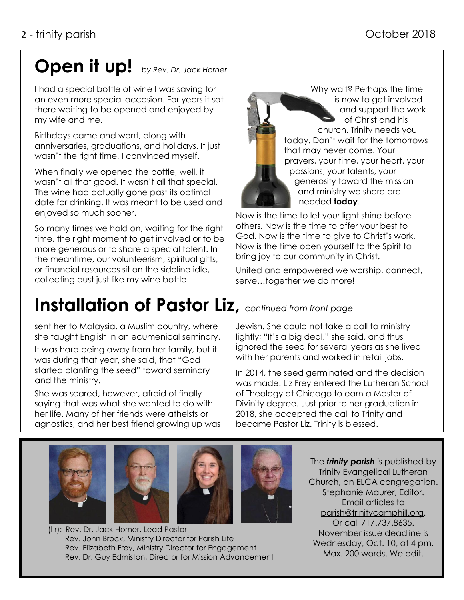# **Open it up!** *by Rev. Dr. Jack Horner*

I had a special bottle of wine I was saving for an even more special occasion. For years it sat there waiting to be opened and enjoyed by my wife and me.

Birthdays came and went, along with anniversaries, graduations, and holidays. It just wasn't the right time, I convinced myself.

When finally we opened the bottle, well, it wasn't all that good. It wasn't all that special. The wine had actually gone past its optimal date for drinking. It was meant to be used and enjoyed so much sooner.

So many times we hold on, waiting for the right time, the right moment to get involved or to be more generous or to share a special talent. In the meantime, our volunteerism, spiritual gifts, or financial resources sit on the sideline idle, collecting dust just like my wine bottle.

Why wait? Perhaps the time is now to get involved and support the work of Christ and his church. Trinity needs you today. Don't wait for the tomorrows that may never come. Your prayers, your time, your heart, your passions, your talents, your generosity toward the mission and ministry we share are needed **today**.

Now is the time to let your light shine before others. Now is the time to offer your best to God. Now is the time to give to Christ's work. Now is the time open yourself to the Spirit to bring joy to our community in Christ.

United and empowered we worship, connect, serve…together we do more!

### **Installation of Pastor Liz,** *continued from front page*

sent her to Malaysia, a Muslim country, where she taught English in an ecumenical seminary.

It was hard being away from her family, but it was during that year, she said, that "God started planting the seed" toward seminary and the ministry.

She was scared, however, afraid of finally saying that was what she wanted to do with her life. Many of her friends were atheists or agnostics, and her best friend growing up was Jewish. She could not take a call to ministry lightly; "It's a big deal," she said, and thus ignored the seed for several years as she lived with her parents and worked in retail jobs.

In 2014, the seed germinated and the decision was made. Liz Frey entered the Lutheran School of Theology at Chicago to earn a Master of Divinity degree. Just prior to her graduation in 2018, she accepted the call to Trinity and became Pastor Liz. Trinity is blessed.





The *trinity parish* is published by Trinity Evangelical Lutheran Church, an ELCA congregation. Stephanie Maurer, Editor. Email articles to [parish@trinitycamphill.org.](mailto:parish@trinitycamphill.org) Or call 717.737.8635. November issue deadline is Wednesday, Oct. 10, at 4 pm. Max. 200 words. We edit.

(l-r): Rev. Dr. Jack Horner, Lead Pastor Rev. John Brock, Ministry Director for Parish Life Rev. Elizabeth Frey, Ministry Director for Engagement Rev. Dr. Guy Edmiston, Director for Mission Advancement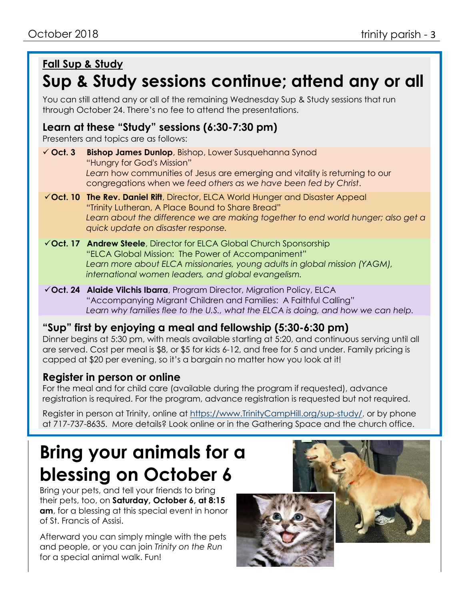### **Fall Sup & Study**

### **Sup & Study sessions continue; attend any or all**

You can still attend any or all of the remaining Wednesday Sup & Study sessions that run through October 24. There's no fee to attend the presentations.

### **Learn at these "Study" sessions (6:30-7:30 pm)**

Presenters and topics are as follows:

- ✓ **Oct. 3 Bishop James Dunlop**, Bishop, Lower Susquehanna Synod "Hungry for God's Mission" *Learn* how communities of Jesus are emerging and vitality is returning to our congregations when we *feed others as we have been fed by Christ*.
- ✓**Oct. 10 The Rev. Daniel Rift**, Director, ELCA World Hunger and Disaster Appeal "Trinity Lutheran, A Place Bound to Share Bread" Learn about the difference we are making together to end world hunger; also get a *quick update on disaster response.*
- ✓**Oct. 17 Andrew Steele**, Director for ELCA Global Church Sponsorship "ELCA Global Mission: The Power of Accompaniment" *Learn more about ELCA missionaries, young adults in global mission (YAGM), international women leaders, and global evangelism.*
- ✓**Oct. 24 Alaide Vilchis Ibarra**, Program Director, Migration Policy, ELCA "Accompanying Migrant Children and Families: A Faithful Calling" *Learn why families flee to the U.S., what the ELCA is doing, and how we can help.*

### **"Sup" first by enjoying a meal and fellowship (5:30-6:30 pm)**

Dinner begins at 5:30 pm, with meals available starting at 5:20, and continuous serving until all are served. Cost per meal is \$8, or \$5 for kids 6-12, and free for 5 and under. Family pricing is capped at \$20 per evening, so it's a bargain no matter how you look at it!

### **Register in person or online**

For the meal and for child care (available during the program if requested), advance registration is required. For the program, advance registration is requested but not required.

Register in person at Trinity, online at [https://www.TrinityCampHill.org/sup-study/,](https://www.trinitycamphill.org/sup-study/) or by phone at 717-737-8635. More details? Look online or in the Gathering Space and the church office.

# **Bring your animals for a blessing on October 6**

Bring your pets, and tell your friends to bring their pets, too, on **Saturday, October 6, at 8:15 am**, for a blessing at this special event in honor of St. Francis of Assisi.

Afterward you can simply mingle with the pets and people, or you can join *Trinity on the Run* for a special animal walk. Fun!



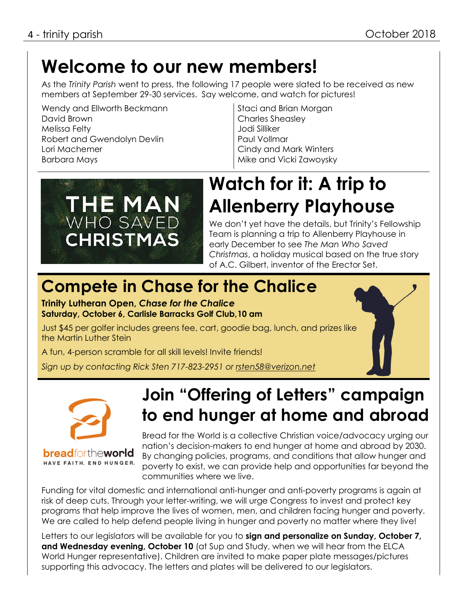### **Welcome to our new members!**

As the *Trinity Parish* went to press, the following 17 people were slated to be received as new members at September 29-30 services. Say welcome, and watch for pictures!

Wendy and Ellworth Beckmann David Brown Melissa Felty Robert and Gwendolyn Devlin Lori Machemer Barbara Mays

Staci and Brian Morgan Charles Sheasley Jodi Silliker Paul Vollmar Cindy and Mark Winters Mike and Vicki Zawoysky



### **Watch for it: A trip to Allenberry Playhouse**

We don't yet have the details, but Trinity's Fellowship Team is planning a trip to Allenberry Playhouse in early December to see *The Man Who Saved Christmas*, a holiday musical based on the true story of A.C. Gilbert, inventor of the Erector Set.

### **Compete in Chase for the Chalice**

**Trinity Lutheran Open,** *Chase for the Chalice* **Saturday, October 6, Carlisle Barracks Golf Club,10 am**

Just \$45 per golfer includes greens fee, cart, goodie bag, lunch, and prizes like the Martin Luther Stein

A fun, 4-person scramble for all skill levels! Invite friends!

*Sign up by contacting Rick Sten 717-823-2951 or [rsten58@verizon.net](mailto:rsten58@verizon.net)*



**bread**fortheworld HAVE FAITH. END HUNGER.

### **Join "Offering of Letters" campaign to end hunger at home and abroad**

Bread for the World is a collective Christian voice/advocacy urging our nation's decision-makers to end hunger at home and abroad by 2030. By changing policies, programs, and conditions that allow hunger and poverty to exist, we can provide help and opportunities far beyond the communities where we live.

Funding for vital domestic and international anti-hunger and anti-poverty programs is again at risk of deep cuts. Through your letter-writing, we will urge Congress to invest and protect key programs that help improve the lives of women, men, and children facing hunger and poverty. We are called to help defend people living in hunger and poverty no matter where they live!

Letters to our legislators will be available for you to **sign and personalize on Sunday, October 7, and Wednesday evening, October 10** (at Sup and Study, when we will hear from the ELCA World Hunger representative). Children are invited to make paper plate messages/pictures supporting this advocacy. The letters and plates will be delivered to our legislators.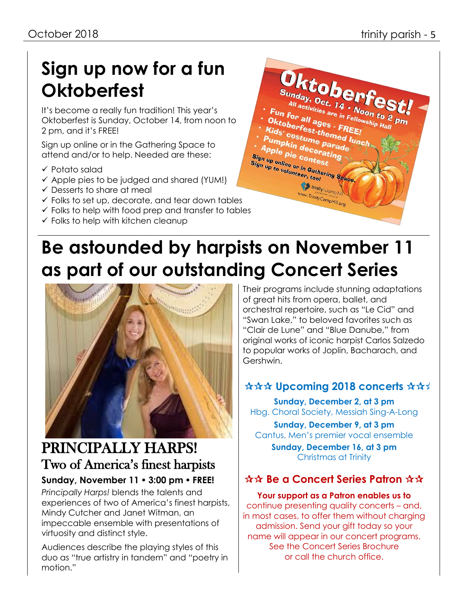# **Sign up now for a fun Oktoberfest**

It's become a really fun tradition! This year's Oktoberfest is Sunday, October 14, from noon to 2 pm, and it's FREE!

Sign up online or in the Gathering Space to attend and/or to help. Needed are these:

- ✓ Potato salad
- ✓ Apple pies to be judged and shared (YUM!)
- $\checkmark$  Desserts to share at meal
- $\checkmark$  Folks to set up, decorate, and tear down tables
- $\checkmark$  Folks to help with food prep and transfer to tables
- $\checkmark$  Folks to help with kitchen cleanup



# **Be astounded by harpists on November 11 as part of our outstanding Concert Series**



### PRINCIPALLY HARPS! Two of America's finest harpists

### **Sunday, November 11 3:00 pm FREE!**

*Principally Harps!* blends the talents and experiences of two of America's finest harpists, Mindy Cutcher and Janet Witman, an impeccable ensemble with presentations of virtuosity and distinct style.

Audiences describe the playing styles of this duo as "true artistry in tandem" and "poetry in motion."

Their programs include stunning adaptations of great hits from opera, ballet, and orchestral repertoire, such as "Le Cid" and "Swan Lake," to beloved favorites such as "Clair de Lune" and "Blue Danube," from original works of iconic harpist Carlos Salzedo to popular works of Joplin, Bacharach, and Gershwin.

### **☆☆☆ Upcoming 2018 concerts ☆☆**

**Sunday, December 2, at 3 pm** Hbg. Choral Society, Messiah Sing-A-Long

**Sunday, December 9, at 3 pm** Cantus, Men's premier vocal ensemble

**Sunday, December 16, at 3 pm** Christmas at Trinity

### **AA Be a Concert Series Patron ☆☆**

**Your support as a Patron enables us to**  continue presenting quality concerts – and, in most cases, to offer them without charging admission. Send your gift today so your name will appear in our concert programs. See the Concert Series Brochure or call the church office.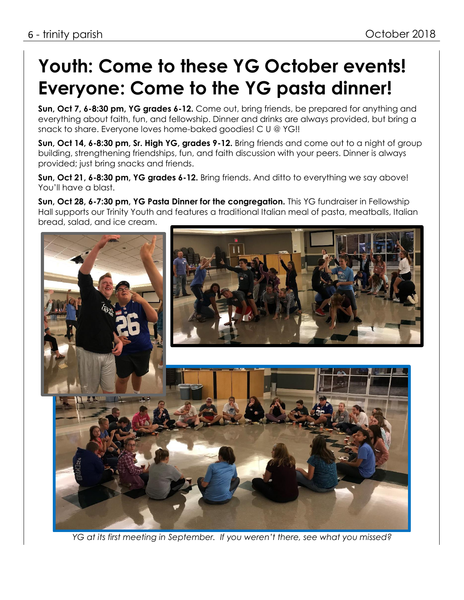# **Youth: Come to these YG October events! Everyone: Come to the YG pasta dinner!**

**Sun, Oct 7, 6-8:30 pm, YG grades 6-12.** Come out, bring friends, be prepared for anything and everything about faith, fun, and fellowship. Dinner and drinks are always provided, but bring a snack to share. Everyone loves home-baked goodies! C U @ YG!!

**Sun, Oct 14, 6-8:30 pm, Sr. High YG, grades 9-12.** Bring friends and come out to a night of group building, strengthening friendships, fun, and faith discussion with your peers. Dinner is always provided; just bring snacks and friends.

**Sun, Oct 21, 6-8:30 pm, YG grades 6-12.** Bring friends. And ditto to everything we say above! You'll have a blast.

**Sun, Oct 28, 6-7:30 pm, YG Pasta Dinner for the congregation.** This YG fundraiser in Fellowship Hall supports our Trinity Youth and features a traditional Italian meal of pasta, meatballs, Italian bread, salad, and ice cream.



*YG at its first meeting in September. If you weren't there, see what you missed?*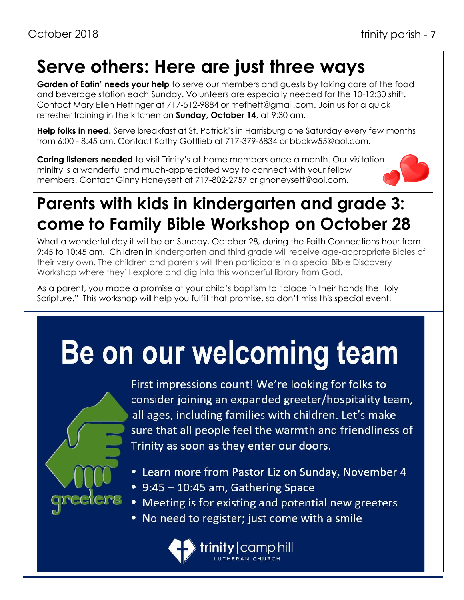## **Serve others: Here are just three ways**

**Garden of Eatin' needs your help** to serve our members and guests by taking care of the food and beverage station each Sunday. Volunteers are especially needed for the 10-12:30 shift. Contact Mary Ellen Hettinger at 717-512-9884 or [mefhett@gmail.com.](mailto:mefhett@gmail.com) Join us for a quick refresher training in the kitchen on **Sunday, October 14**, at 9:30 am.

**Help folks in need.** Serve breakfast at St. Patrick's in Harrisburg one Saturday every few months from 6:00 - 8:45 am. Contact Kathy Gottlieb at 717-379-6834 or [bbbkw55@aol.com.](mailto:bbbkw55@aol.com)

**Caring listeners needed** to visit Trinity's at-home members once a month. Our visitation minitry is a wonderful and much-appreciated way to connect with your fellow members. Contact Ginny Honeysett at 717-802-2757 or [ghoneysett@aol.com.](mailto:ghoneysett@aol.com)



### **Parents with kids in kindergarten and grade 3: come to Family Bible Workshop on October 28**

What a wonderful day it will be on Sunday, October 28, during the Faith Connections hour from 9:45 to 10:45 am. Children in kindergarten and third grade will receive age-appropriate Bibles of their very own. The children and parents will then participate in a special Bible Discovery Workshop where they'll explore and dig into this wonderful library from God.

As a parent, you made a promise at your child's baptism to "place in their hands the Holy Scripture." This workshop will help you fulfill that promise, so don't miss this special event!

# Be on our welcoming team



First impressions count! We're looking for folks to consider joining an expanded greeter/hospitality team, all ages, including families with children. Let's make sure that all people feel the warmth and friendliness of Trinity as soon as they enter our doors.

- Learn more from Pastor Liz on Sunday, November 4
- 9:45 10:45 am, Gathering Space
- Meeting is for existing and potential new greeters
- No need to register; just come with a smile